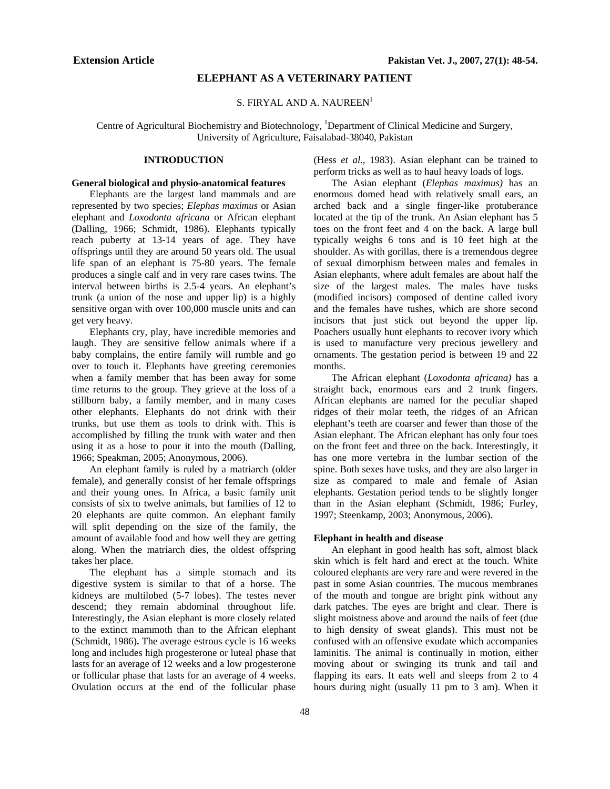## **ELEPHANT AS A VETERINARY PATIENT**

### S. FIRYAL AND A. NAUREEN<sup>1</sup>

Centre of Agricultural Biochemistry and Biotechnology, <sup>1</sup>Department of Clinical Medicine and Surgery, University of Agriculture, Faisalabad-38040, Pakistan

# **INTRODUCTION**

#### **General biological and physio-anatomical features**

Elephants are the largest land mammals and are represented by two species; *Elephas maximus* or Asian elephant and *Loxodonta africana* or African elephant (Dalling, 1966; Schmidt, 1986). Elephants typically reach puberty at 13-14 years of age. They have offsprings until they are around 50 years old. The usual life span of an elephant is 75-80 years. The female produces a single calf and in very rare cases twins. The interval between births is 2.5-4 years. An elephant's trunk (a union of the nose and upper lip) is a highly sensitive organ with over 100,000 muscle units and can get very heavy.

Elephants cry, play, have incredible memories and laugh. They are sensitive fellow animals where if a baby complains, the entire family will rumble and go over to touch it. Elephants have greeting ceremonies when a family member that has been away for some time returns to the group. They grieve at the loss of a stillborn baby, a family member, and in many cases other elephants. Elephants do not drink with their trunks, but use them as tools to drink with. This is accomplished by filling the trunk with water and then using it as a hose to pour it into the mouth (Dalling, 1966; Speakman, 2005; Anonymous, 2006).

An elephant family is ruled by a matriarch (older female), and generally consist of her female offsprings and their young ones. In Africa, a basic family unit consists of six to twelve animals, but families of 12 to 20 elephants are quite common. An elephant family will split depending on the size of the family, the amount of available food and how well they are getting along. When the matriarch dies, the oldest offspring takes her place.

The elephant has a simple stomach and its digestive system is similar to that of a horse. The kidneys are multilobed (5-7 lobes). The testes never descend; they remain abdominal throughout life. Interestingly, the Asian elephant is more closely related to the extinct mammoth than to the African elephant (Schmidt, 1986)**.** The average estrous cycle is 16 weeks long and includes high progesterone or luteal phase that lasts for an average of 12 weeks and a low progesterone or follicular phase that lasts for an average of 4 weeks. Ovulation occurs at the end of the follicular phase

(Hess *et al*., 1983). Asian elephant can be trained to perform tricks as well as to haul heavy loads of logs.

The Asian elephant (*Elephas maximus)* has an enormous domed head with relatively small ears, an arched back and a single finger-like protuberance located at the tip of the trunk. An Asian elephant has 5 toes on the front feet and 4 on the back. A large bull typically weighs 6 tons and is 10 feet high at the shoulder. As with gorillas, there is a tremendous degree of sexual dimorphism between males and females in Asian elephants, where adult females are about half the size of the largest males. The males have tusks (modified incisors) composed of dentine called ivory and the females have tushes, which are shore second incisors that just stick out beyond the upper lip. Poachers usually hunt elephants to recover ivory which is used to manufacture very precious jewellery and ornaments. The gestation period is between 19 and 22 months.

The African elephant (*Loxodonta africana)* has a straight back, enormous ears and 2 trunk fingers. African elephants are named for the peculiar shaped ridges of their molar teeth, the ridges of an African elephant's teeth are coarser and fewer than those of the Asian elephant. The African elephant has only four toes on the front feet and three on the back. Interestingly, it has one more vertebra in the lumbar section of the spine. Both sexes have tusks, and they are also larger in size as compared to male and female of Asian elephants. Gestation period tends to be slightly longer than in the Asian elephant (Schmidt, 1986; Furley, 1997; Steenkamp, 2003; Anonymous, 2006).

#### **Elephant in health and disease**

An elephant in good health has soft, almost black skin which is felt hard and erect at the touch. White coloured elephants are very rare and were revered in the past in some Asian countries. The mucous membranes of the mouth and tongue are bright pink without any dark patches. The eyes are bright and clear. There is slight moistness above and around the nails of feet (due to high density of sweat glands). This must not be confused with an offensive exudate which accompanies laminitis. The animal is continually in motion, either moving about or swinging its trunk and tail and flapping its ears. It eats well and sleeps from 2 to 4 hours during night (usually 11 pm to 3 am). When it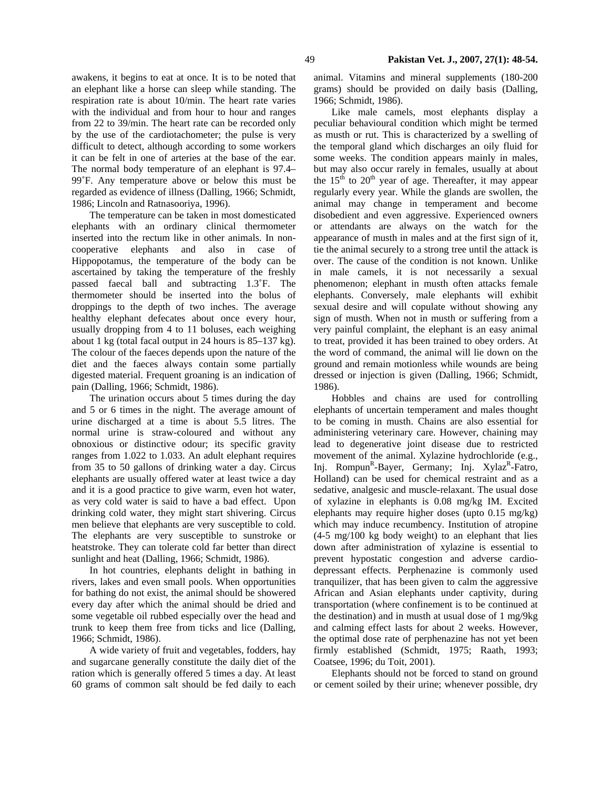awakens, it begins to eat at once. It is to be noted that an elephant like a horse can sleep while standing. The respiration rate is about 10/min. The heart rate varies with the individual and from hour to hour and ranges from 22 to 39/min. The heart rate can be recorded only by the use of the cardiotachometer; the pulse is very difficult to detect, although according to some workers it can be felt in one of arteries at the base of the ear. The normal body temperature of an elephant is 97.4– 99˚F. Any temperature above or below this must be regarded as evidence of illness (Dalling, 1966; Schmidt, 1986; Lincoln and Ratnasooriya, 1996).

 The temperature can be taken in most domesticated elephants with an ordinary clinical thermometer inserted into the rectum like in other animals. In noncooperative elephants and also in case of Hippopotamus, the temperature of the body can be ascertained by taking the temperature of the freshly passed faecal ball and subtracting 1.3˚F. The thermometer should be inserted into the bolus of droppings to the depth of two inches. The average healthy elephant defecates about once every hour, usually dropping from 4 to 11 boluses, each weighing about 1 kg (total facal output in 24 hours is 85–137 kg). The colour of the faeces depends upon the nature of the diet and the faeces always contain some partially digested material. Frequent groaning is an indication of pain (Dalling, 1966; Schmidt, 1986).

The urination occurs about 5 times during the day and 5 or 6 times in the night. The average amount of urine discharged at a time is about 5.5 litres. The normal urine is straw-coloured and without any obnoxious or distinctive odour; its specific gravity ranges from 1.022 to 1.033. An adult elephant requires from 35 to 50 gallons of drinking water a day. Circus elephants are usually offered water at least twice a day and it is a good practice to give warm, even hot water, as very cold water is said to have a bad effect. Upon drinking cold water, they might start shivering. Circus men believe that elephants are very susceptible to cold. The elephants are very susceptible to sunstroke or heatstroke. They can tolerate cold far better than direct sunlight and heat (Dalling, 1966; Schmidt, 1986).

 In hot countries, elephants delight in bathing in rivers, lakes and even small pools. When opportunities for bathing do not exist, the animal should be showered every day after which the animal should be dried and some vegetable oil rubbed especially over the head and trunk to keep them free from ticks and lice (Dalling, 1966; Schmidt, 1986).

 A wide variety of fruit and vegetables, fodders, hay and sugarcane generally constitute the daily diet of the ration which is generally offered 5 times a day. At least 60 grams of common salt should be fed daily to each

animal. Vitamins and mineral supplements (180-200 grams) should be provided on daily basis (Dalling, 1966; Schmidt, 1986).

Like male camels, most elephants display a peculiar behavioural condition which might be termed as musth or rut. This is characterized by a swelling of the temporal gland which discharges an oily fluid for some weeks. The condition appears mainly in males, but may also occur rarely in females, usually at about the  $15<sup>th</sup>$  to  $20<sup>th</sup>$  year of age. Thereafter, it may appear regularly every year. While the glands are swollen, the animal may change in temperament and become disobedient and even aggressive. Experienced owners or attendants are always on the watch for the appearance of musth in males and at the first sign of it, tie the animal securely to a strong tree until the attack is over. The cause of the condition is not known. Unlike in male camels, it is not necessarily a sexual phenomenon; elephant in musth often attacks female elephants. Conversely, male elephants will exhibit sexual desire and will copulate without showing any sign of musth. When not in musth or suffering from a very painful complaint, the elephant is an easy animal to treat, provided it has been trained to obey orders. At the word of command, the animal will lie down on the ground and remain motionless while wounds are being dressed or injection is given (Dalling, 1966; Schmidt, 1986).

 Hobbles and chains are used for controlling elephants of uncertain temperament and males thought to be coming in musth. Chains are also essential for administering veterinary care. However, chaining may lead to degenerative joint disease due to restricted movement of the animal. Xylazine hydrochloride (e.g., Inj. Rompun<sup>R</sup>-Bayer, Germany; Inj. Xylaz<sup>R</sup>-Fatro, Holland) can be used for chemical restraint and as a sedative, analgesic and muscle-relaxant. The usual dose of xylazine in elephants is 0.08 mg/kg IM. Excited elephants may require higher doses (upto 0.15 mg/kg) which may induce recumbency. Institution of atropine (4-5 mg/100 kg body weight) to an elephant that lies down after administration of xylazine is essential to prevent hypostatic congestion and adverse cardiodepressant effects. Perphenazine is commonly used tranquilizer, that has been given to calm the aggressive African and Asian elephants under captivity, during transportation (where confinement is to be continued at the destination) and in musth at usual dose of 1 mg/9kg and calming effect lasts for about 2 weeks. However, the optimal dose rate of perphenazine has not yet been firmly established (Schmidt, 1975; Raath, 1993; Coatsee, 1996; du Toit, 2001).

 Elephants should not be forced to stand on ground or cement soiled by their urine; whenever possible, dry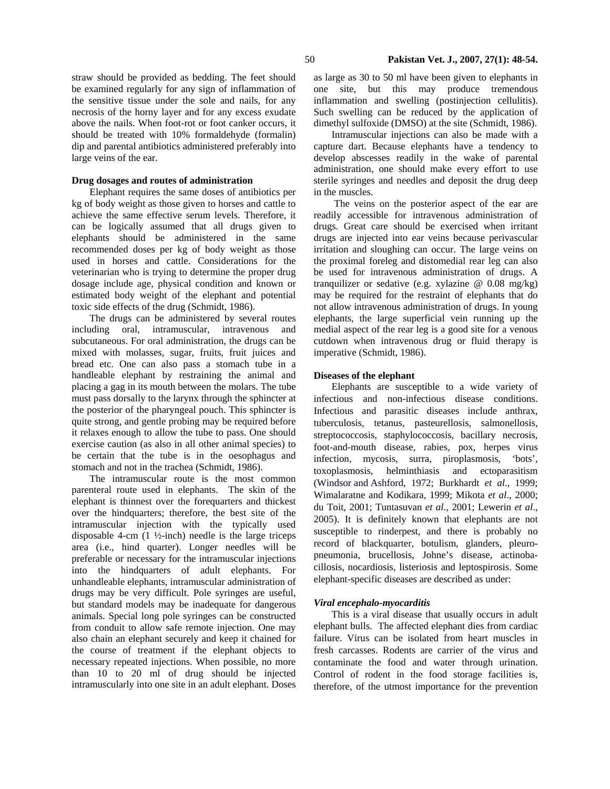straw should be provided as bedding. The feet should be examined regularly for any sign of inflammation of the sensitive tissue under the sole and nails, for any necrosis of the horny layer and for any excess exudate above the nails. When foot-rot or foot canker occurs, it should be treated with 10% formaldehyde (formalin) dip and parental antibiotics administered preferably into large veins of the ear.

## **Drug dosages and routes of administration**

Elephant requires the same doses of antibiotics per kg of body weight as those given to horses and cattle to achieve the same effective serum levels. Therefore, it can be logically assumed that all drugs given to elephants should be administered in the same recommended doses per kg of body weight as those used in horses and cattle. Considerations for the veterinarian who is trying to determine the proper drug dosage include age, physical condition and known or estimated body weight of the elephant and potential toxic side effects of the drug (Schmidt, 1986).

 The drugs can be administered by several routes including oral, intramuscular, intravenous and subcutaneous. For oral administration, the drugs can be mixed with molasses, sugar, fruits, fruit juices and bread etc. One can also pass a stomach tube in a handleable elephant by restraining the animal and placing a gag in its mouth between the molars. The tube must pass dorsally to the larynx through the sphincter at the posterior of the pharyngeal pouch. This sphincter is quite strong, and gentle probing may be required before it relaxes enough to allow the tube to pass. One should exercise caution (as also in all other animal species) to be certain that the tube is in the oesophagus and stomach and not in the trachea (Schmidt, 1986).

 The intramuscular route is the most common parenteral route used in elephants. The skin of the elephant is thinnest over the forequarters and thickest over the hindquarters; therefore, the best site of the intramuscular injection with the typically used disposable 4-cm  $(1 \frac{1}{2} \cdot \text{inch})$  needle is the large triceps area (i.e., hind quarter). Longer needles will be preferable or necessary for the intramuscular injections into the hindquarters of adult elephants. For unhandleable elephants, intramuscular administration of drugs may be very difficult. Pole syringes are useful, but standard models may be inadequate for dangerous animals. Special long pole syringes can be constructed from conduit to allow safe remote injection. One may also chain an elephant securely and keep it chained for the course of treatment if the elephant objects to necessary repeated injections. When possible, no more than 10 to 20 ml of drug should be injected intramuscularly into one site in an adult elephant. Doses

as large as 30 to 50 ml have been given to elephants in one site, but this may produce tremendous inflammation and swelling (postinjection cellulitis). Such swelling can be reduced by the application of dimethyl sulfoxide (DMSO) at the site (Schmidt, 1986).

 Intramuscular injections can also be made with a capture dart. Because elephants have a tendency to develop abscesses readily in the wake of parental administration, one should make every effort to use sterile syringes and needles and deposit the drug deep in the muscles.

The veins on the posterior aspect of the ear are readily accessible for intravenous administration of drugs. Great care should be exercised when irritant drugs are injected into ear veins because perivascular irritation and sloughing can occur. The large veins on the proximal foreleg and distomedial rear leg can also be used for intravenous administration of drugs. A tranquilizer or sedative (e.g. xylazine @ 0.08 mg/kg) may be required for the restraint of elephants that do not allow intravenous administration of drugs. In young elephants, the large superficial vein running up the medial aspect of the rear leg is a good site for a venous cutdown when intravenous drug or fluid therapy is imperative (Schmidt, 1986).

#### **Diseases of the elephant**

Elephants are susceptible to a wide variety of infectious and non-infectious disease conditions. Infectious and parasitic diseases include anthrax, tuberculosis, tetanus, pasteurellosis, salmonellosis, streptococcosis, staphylococcosis, bacillary necrosis, foot-and-mouth disease, rabies, pox, herpes virus infection, mycosis, surra, piroplasmosis, 'bots', toxoplasmosis, helminthiasis and ectoparasitism (Windsor and Ashford, 1972; Burkhardt *et al*., 1999; Wimalaratne and Kodikara, 1999; Mikota *et al*., 2000; du Toit, 2001; Tuntasuvan *et al*., 2001; Lewerin *et al*., 2005). It is definitely known that elephants are not susceptible to rinderpest, and there is probably no record of blackquarter, botulism, glanders, pleuropneumonia, brucellosis, Johne's disease, actinobacillosis, nocardiosis, listeriosis and leptospirosis. Some elephant-specific diseases are described as under:

## *Viral encephalo-myocarditis*

This is a viral disease that usually occurs in adult elephant bulls. The affected elephant dies from cardiac failure. Virus can be isolated from heart muscles in fresh carcasses. Rodents are carrier of the virus and contaminate the food and water through urination. Control of rodent in the food storage facilities is, therefore, of the utmost importance for the prevention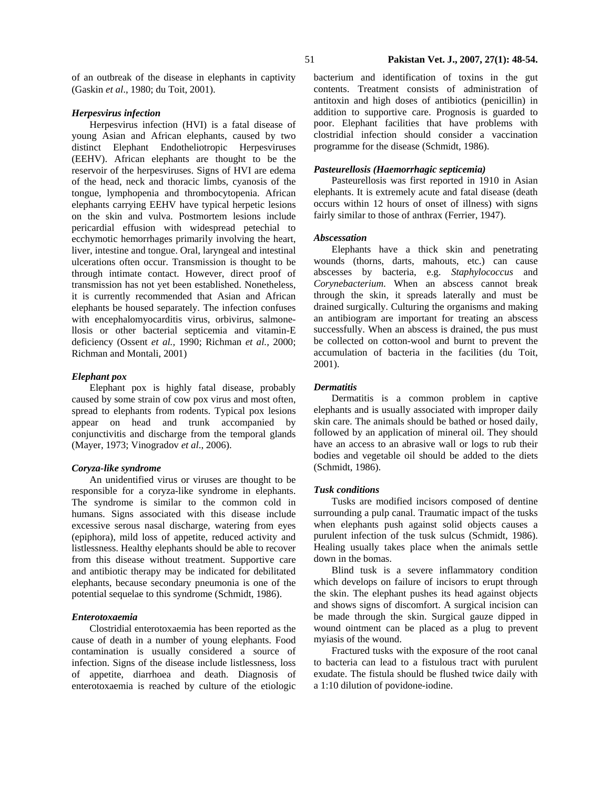### *Herpesvirus infection*

Herpesvirus infection (HVI) is a fatal disease of young Asian and African elephants, caused by two distinct Elephant Endotheliotropic Herpesviruses (EEHV). African elephants are thought to be the reservoir of the herpesviruses. Signs of HVI are edema of the head, neck and thoracic limbs, cyanosis of the tongue, lymphopenia and thrombocytopenia. African elephants carrying EEHV have typical herpetic lesions on the skin and vulva. Postmortem lesions include pericardial effusion with widespread petechial to ecchymotic hemorrhages primarily involving the heart, liver, intestine and tongue. Oral, laryngeal and intestinal ulcerations often occur. Transmission is thought to be through intimate contact. However, direct proof of transmission has not yet been established. Nonetheless, it is currently recommended that Asian and African elephants be housed separately. The infection confuses with encephalomyocarditis virus, orbivirus, salmonellosis or other bacterial septicemia and vitamin-E deficiency (Ossent *et al.,* 1990; Richman *et al.,* 2000; Richman and Montali, 2001)

## *Elephant pox*

Elephant pox is highly fatal disease, probably caused by some strain of cow pox virus and most often, spread to elephants from rodents. Typical pox lesions appear on head and trunk accompanied by conjunctivitis and discharge from the temporal glands (Mayer, 1973; Vinogradov *et al*., 2006).

# *Coryza-like syndrome*

An unidentified virus or viruses are thought to be responsible for a coryza-like syndrome in elephants. The syndrome is similar to the common cold in humans. Signs associated with this disease include excessive serous nasal discharge, watering from eyes (epiphora), mild loss of appetite, reduced activity and listlessness. Healthy elephants should be able to recover from this disease without treatment. Supportive care and antibiotic therapy may be indicated for debilitated elephants, because secondary pneumonia is one of the potential sequelae to this syndrome (Schmidt, 1986).

### *Enterotoxaemia*

Clostridial enterotoxaemia has been reported as the cause of death in a number of young elephants. Food contamination is usually considered a source of infection. Signs of the disease include listlessness, loss of appetite, diarrhoea and death. Diagnosis of enterotoxaemia is reached by culture of the etiologic bacterium and identification of toxins in the gut contents. Treatment consists of administration of antitoxin and high doses of antibiotics (penicillin) in addition to supportive care. Prognosis is guarded to poor. Elephant facilities that have problems with clostridial infection should consider a vaccination programme for the disease (Schmidt, 1986).

# *Pasteurellosis (Haemorrhagic septicemia)*

Pasteurellosis was first reported in 1910 in Asian elephants. It is extremely acute and fatal disease (death occurs within 12 hours of onset of illness) with signs fairly similar to those of anthrax (Ferrier, 1947).

### *Abscessation*

Elephants have a thick skin and penetrating wounds (thorns, darts, mahouts, etc.) can cause abscesses by bacteria, e.g. *Staphylococcus* and *Corynebacterium*. When an abscess cannot break through the skin, it spreads laterally and must be drained surgically. Culturing the organisms and making an antibiogram are important for treating an abscess successfully. When an abscess is drained, the pus must be collected on cotton-wool and burnt to prevent the accumulation of bacteria in the facilities (du Toit, 2001).

## *Dermatitis*

Dermatitis is a common problem in captive elephants and is usually associated with improper daily skin care. The animals should be bathed or hosed daily, followed by an application of mineral oil. They should have an access to an abrasive wall or logs to rub their bodies and vegetable oil should be added to the diets (Schmidt, 1986).

### *Tusk conditions*

Tusks are modified incisors composed of dentine surrounding a pulp canal. Traumatic impact of the tusks when elephants push against solid objects causes a purulent infection of the tusk sulcus (Schmidt, 1986). Healing usually takes place when the animals settle down in the bomas.

Blind tusk is a severe inflammatory condition which develops on failure of incisors to erupt through the skin. The elephant pushes its head against objects and shows signs of discomfort. A surgical incision can be made through the skin. Surgical gauze dipped in wound ointment can be placed as a plug to prevent myiasis of the wound.

Fractured tusks with the exposure of the root canal to bacteria can lead to a fistulous tract with purulent exudate. The fistula should be flushed twice daily with a 1:10 dilution of povidone-iodine.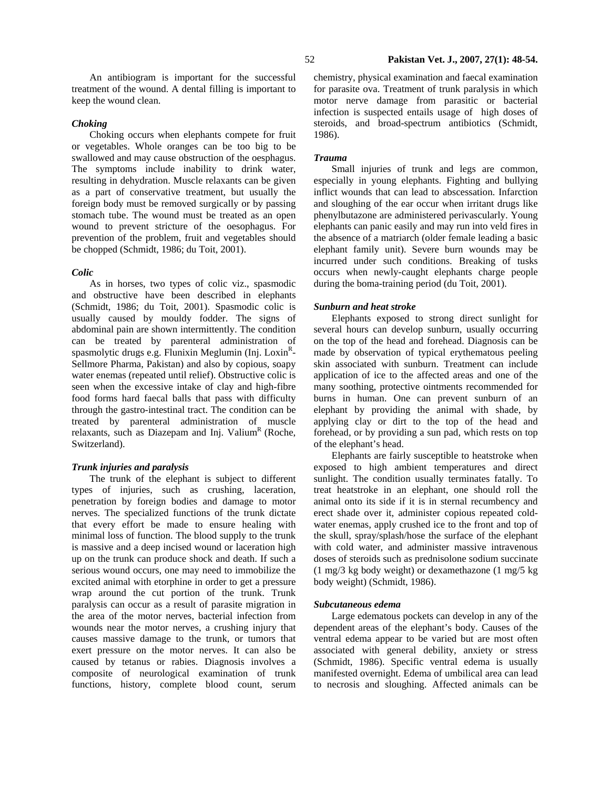An antibiogram is important for the successful treatment of the wound. A dental filling is important to keep the wound clean.

## *Choking*

Choking occurs when elephants compete for fruit or vegetables. Whole oranges can be too big to be swallowed and may cause obstruction of the oesphagus. The symptoms include inability to drink water, resulting in dehydration. Muscle relaxants can be given as a part of conservative treatment, but usually the foreign body must be removed surgically or by passing stomach tube. The wound must be treated as an open wound to prevent stricture of the oesophagus. For prevention of the problem, fruit and vegetables should be chopped (Schmidt, 1986; du Toit, 2001).

#### *Colic*

As in horses, two types of colic viz., spasmodic and obstructive have been described in elephants (Schmidt, 1986; du Toit, 2001). Spasmodic colic is usually caused by mouldy fodder. The signs of abdominal pain are shown intermittently. The condition can be treated by parenteral administration of spasmolytic drugs e.g. Flunixin Meglumin (Inj. Loxin<sup>R</sup>-Sellmore Pharma, Pakistan) and also by copious, soapy water enemas (repeated until relief). Obstructive colic is seen when the excessive intake of clay and high-fibre food forms hard faecal balls that pass with difficulty through the gastro-intestinal tract. The condition can be treated by parenteral administration of muscle relaxants, such as Diazepam and Inj. Valium<sup>R</sup> (Roche, Switzerland).

### *Trunk injuries and paralysis*

The trunk of the elephant is subject to different types of injuries, such as crushing, laceration, penetration by foreign bodies and damage to motor nerves. The specialized functions of the trunk dictate that every effort be made to ensure healing with minimal loss of function. The blood supply to the trunk is massive and a deep incised wound or laceration high up on the trunk can produce shock and death. If such a serious wound occurs, one may need to immobilize the excited animal with etorphine in order to get a pressure wrap around the cut portion of the trunk. Trunk paralysis can occur as a result of parasite migration in the area of the motor nerves, bacterial infection from wounds near the motor nerves, a crushing injury that causes massive damage to the trunk, or tumors that exert pressure on the motor nerves. It can also be caused by tetanus or rabies. Diagnosis involves a composite of neurological examination of trunk functions, history, complete blood count, serum

chemistry, physical examination and faecal examination for parasite ova. Treatment of trunk paralysis in which motor nerve damage from parasitic or bacterial infection is suspected entails usage of high doses of steroids, and broad-spectrum antibiotics (Schmidt, 1986).

# *Trauma*

Small injuries of trunk and legs are common, especially in young elephants. Fighting and bullying inflict wounds that can lead to abscessation. Infarction and sloughing of the ear occur when irritant drugs like phenylbutazone are administered perivascularly. Young elephants can panic easily and may run into veld fires in the absence of a matriarch (older female leading a basic elephant family unit). Severe burn wounds may be incurred under such conditions. Breaking of tusks occurs when newly-caught elephants charge people during the boma-training period (du Toit, 2001).

### *Sunburn and heat stroke*

Elephants exposed to strong direct sunlight for several hours can develop sunburn, usually occurring on the top of the head and forehead. Diagnosis can be made by observation of typical erythematous peeling skin associated with sunburn. Treatment can include application of ice to the affected areas and one of the many soothing, protective ointments recommended for burns in human. One can prevent sunburn of an elephant by providing the animal with shade, by applying clay or dirt to the top of the head and forehead, or by providing a sun pad, which rests on top of the elephant's head.

Elephants are fairly susceptible to heatstroke when exposed to high ambient temperatures and direct sunlight. The condition usually terminates fatally. To treat heatstroke in an elephant, one should roll the animal onto its side if it is in sternal recumbency and erect shade over it, administer copious repeated coldwater enemas, apply crushed ice to the front and top of the skull, spray/splash/hose the surface of the elephant with cold water, and administer massive intravenous doses of steroids such as prednisolone sodium succinate (1 mg/3 kg body weight) or dexamethazone (1 mg/5 kg body weight) (Schmidt, 1986).

#### *Subcutaneous edema*

Large edematous pockets can develop in any of the dependent areas of the elephant's body. Causes of the ventral edema appear to be varied but are most often associated with general debility, anxiety or stress (Schmidt, 1986). Specific ventral edema is usually manifested overnight. Edema of umbilical area can lead to necrosis and sloughing. Affected animals can be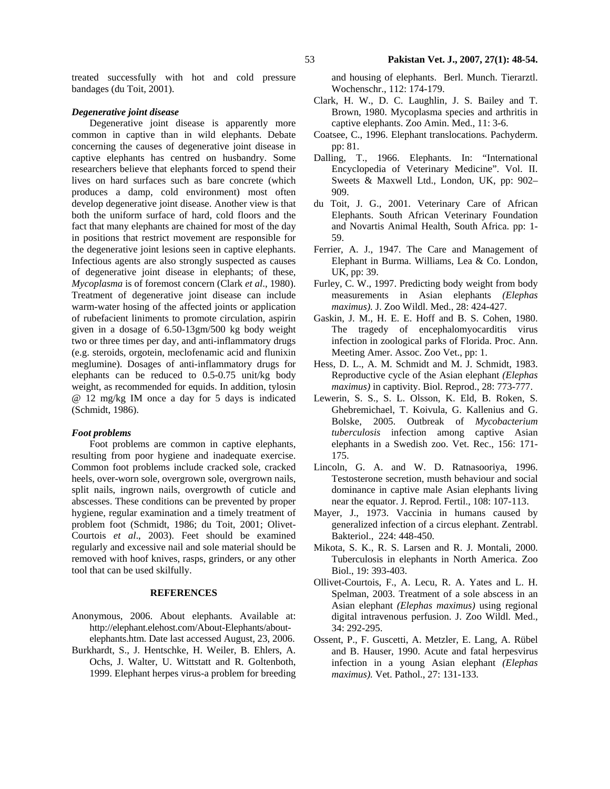treated successfully with hot and cold pressure bandages (du Toit, 2001).

### *Degenerative joint disease*

Degenerative joint disease is apparently more common in captive than in wild elephants. Debate concerning the causes of degenerative joint disease in captive elephants has centred on husbandry. Some researchers believe that elephants forced to spend their lives on hard surfaces such as bare concrete (which produces a damp, cold environment) most often develop degenerative joint disease. Another view is that both the uniform surface of hard, cold floors and the fact that many elephants are chained for most of the day in positions that restrict movement are responsible for the degenerative joint lesions seen in captive elephants. Infectious agents are also strongly suspected as causes of degenerative joint disease in elephants; of these, *Mycoplasma* is of foremost concern (Clark *et al*., 1980). Treatment of degenerative joint disease can include warm-water hosing of the affected joints or application of rubefacient liniments to promote circulation, aspirin given in a dosage of 6.50-13gm/500 kg body weight two or three times per day, and anti-inflammatory drugs (e.g. steroids, orgotein, meclofenamic acid and flunixin meglumine). Dosages of anti-inflammatory drugs for elephants can be reduced to 0.5-0.75 unit/kg body weight, as recommended for equids. In addition, tylosin @ 12 mg/kg IM once a day for 5 days is indicated (Schmidt, 1986).

#### *Foot problems*

Foot problems are common in captive elephants, resulting from poor hygiene and inadequate exercise. Common foot problems include cracked sole, cracked heels, over-worn sole, overgrown sole, overgrown nails, split nails, ingrown nails, overgrowth of cuticle and abscesses. These conditions can be prevented by proper hygiene, regular examination and a timely treatment of problem foot (Schmidt, 1986; du Toit, 2001; Olivet-Courtois *et al*., 2003). Feet should be examined regularly and excessive nail and sole material should be removed with hoof knives, rasps, grinders, or any other tool that can be used skilfully.

#### **REFERENCES**

- Anonymous, 2006. About elephants. Available at: http://elephant.elehost.com/About-Elephants/aboutelephants.htm. Date last accessed August, 23, 2006.
- Burkhardt, S., J. Hentschke, H. Weiler, B. Ehlers, A. Ochs, J. Walter, U. Wittstatt and R. Goltenboth, 1999. Elephant herpes virus-a problem for breeding

and housing of elephants. Berl. Munch. Tierarztl. Wochenschr., 112: 174-179.

- Clark, H. W., D. C. Laughlin, J. S. Bailey and T. Brown, 1980. Mycoplasma species and arthritis in captive elephants. Zoo Amin. Med., 11: 3-6.
- Coatsee, C., 1996. Elephant translocations. Pachyderm. pp: 81.
- Dalling, T., 1966. Elephants. In: "International Encyclopedia of Veterinary Medicine". Vol. II. Sweets & Maxwell Ltd., London, UK, pp: 902– 909.
- du Toit, J. G., 2001. Veterinary Care of African Elephants. South African Veterinary Foundation and Novartis Animal Health, South Africa. pp: 1- 59.
- Ferrier, A. J., 1947. The Care and Management of Elephant in Burma. Williams, Lea & Co. London, UK, pp: 39.
- Furley, C. W., 1997. Predicting body weight from body measurements in Asian elephants *(Elephas maximus).* J. Zoo Wildl. Med., 28: 424-427.
- Gaskin, J. M., H. E. E. Hoff and B. S. Cohen, 1980. The tragedy of encephalomyocarditis virus infection in zoological parks of Florida. Proc. Ann. Meeting Amer. Assoc. Zoo Vet., pp: 1.
- Hess, D. L., A. M. Schmidt and M. J. Schmidt, 1983. Reproductive cycle of the Asian elephant *(Elephas maximus)* in captivity. Biol. Reprod., 28: 773-777.
- Lewerin, S. S., S. L. Olsson, K. Eld, B. Roken, S. Ghebremichael, T. Koivula, G. Kallenius and G. Bolske, 2005. Outbreak of *Mycobacterium tuberculosis* infection among captive Asian elephants in a Swedish zoo. Vet. Rec., 156: 171- 175.
- Lincoln, G. A. and W. D. Ratnasooriya, 1996. Testosterone secretion, musth behaviour and social dominance in captive male Asian elephants living near the equator. J. Reprod. Fertil., 108: 107-113.
- Mayer, J., 1973. Vaccinia in humans caused by generalized infection of a circus elephant. Zentrabl. Bakteriol., 224: 448-450.
- Mikota, S. K., R. S. Larsen and R. J. Montali, 2000. Tuberculosis in elephants in North America. Zoo Biol., 19: 393-403.
- Ollivet-Courtois, F., A. Lecu, R. A. Yates and L. H. Spelman, 2003. Treatment of a sole abscess in an Asian elephant *(Elephas maximus)* using regional digital intravenous perfusion. J. Zoo Wildl. Med., 34: 292-295.
- Ossent, P., F. Guscetti, A. Metzler, E. Lang, A. Rübel and B. Hauser, 1990. Acute and fatal herpesvirus infection in a young Asian elephant *(Elephas maximus).* Vet. Pathol., 27: 131-133.